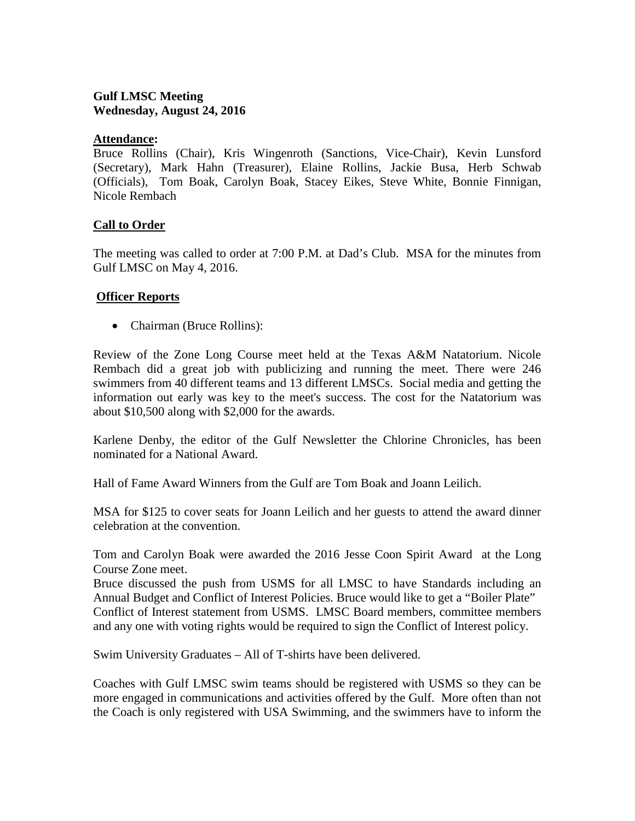# **Gulf LMSC Meeting Wednesday, August 24, 2016**

### **Attendance:**

Bruce Rollins (Chair), Kris Wingenroth (Sanctions, Vice-Chair), Kevin Lunsford (Secretary), Mark Hahn (Treasurer), Elaine Rollins, Jackie Busa, Herb Schwab (Officials), Tom Boak, Carolyn Boak, Stacey Eikes, Steve White, Bonnie Finnigan, Nicole Rembach

# **Call to Order**

The meeting was called to order at 7:00 P.M. at Dad's Club. MSA for the minutes from Gulf LMSC on May 4, 2016.

### **Officer Reports**

• Chairman (Bruce Rollins):

Review of the Zone Long Course meet held at the Texas A&M Natatorium. Nicole Rembach did a great job with publicizing and running the meet. There were 246 swimmers from 40 different teams and 13 different LMSCs. Social media and getting the information out early was key to the meet's success. The cost for the Natatorium was about \$10,500 along with \$2,000 for the awards.

Karlene Denby, the editor of the Gulf Newsletter the Chlorine Chronicles, has been nominated for a National Award.

Hall of Fame Award Winners from the Gulf are Tom Boak and Joann Leilich.

MSA for \$125 to cover seats for Joann Leilich and her guests to attend the award dinner celebration at the convention.

Tom and Carolyn Boak were awarded the 2016 Jesse Coon Spirit Award at the Long Course Zone meet.

Bruce discussed the push from USMS for all LMSC to have Standards including an Annual Budget and Conflict of Interest Policies. Bruce would like to get a "Boiler Plate" Conflict of Interest statement from USMS. LMSC Board members, committee members and any one with voting rights would be required to sign the Conflict of Interest policy.

Swim University Graduates – All of T-shirts have been delivered.

Coaches with Gulf LMSC swim teams should be registered with USMS so they can be more engaged in communications and activities offered by the Gulf. More often than not the Coach is only registered with USA Swimming, and the swimmers have to inform the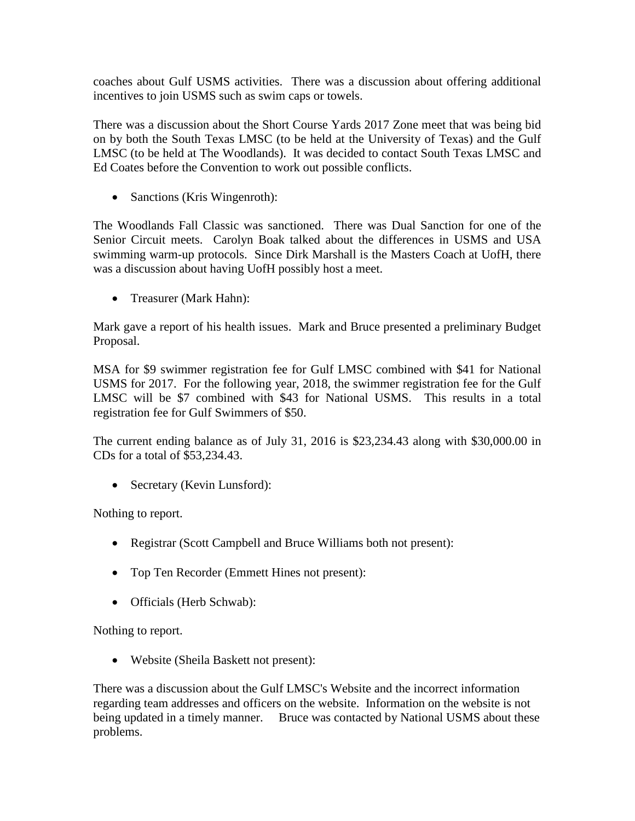coaches about Gulf USMS activities. There was a discussion about offering additional incentives to join USMS such as swim caps or towels.

There was a discussion about the Short Course Yards 2017 Zone meet that was being bid on by both the South Texas LMSC (to be held at the University of Texas) and the Gulf LMSC (to be held at The Woodlands). It was decided to contact South Texas LMSC and Ed Coates before the Convention to work out possible conflicts.

• Sanctions (Kris Wingenroth):

The Woodlands Fall Classic was sanctioned. There was Dual Sanction for one of the Senior Circuit meets. Carolyn Boak talked about the differences in USMS and USA swimming warm-up protocols. Since Dirk Marshall is the Masters Coach at UofH, there was a discussion about having UofH possibly host a meet.

• Treasurer (Mark Hahn):

Mark gave a report of his health issues. Mark and Bruce presented a preliminary Budget Proposal.

MSA for \$9 swimmer registration fee for Gulf LMSC combined with \$41 for National USMS for 2017. For the following year, 2018, the swimmer registration fee for the Gulf LMSC will be \$7 combined with \$43 for National USMS. This results in a total registration fee for Gulf Swimmers of \$50.

The current ending balance as of July 31, 2016 is \$23,234.43 along with \$30,000.00 in CDs for a total of \$53,234.43.

• Secretary (Kevin Lunsford):

Nothing to report.

- Registrar (Scott Campbell and Bruce Williams both not present):
- Top Ten Recorder (Emmett Hines not present):
- Officials (Herb Schwab):

Nothing to report.

• Website (Sheila Baskett not present):

There was a discussion about the Gulf LMSC's Website and the incorrect information regarding team addresses and officers on the website. Information on the website is not being updated in a timely manner. Bruce was contacted by National USMS about these problems.